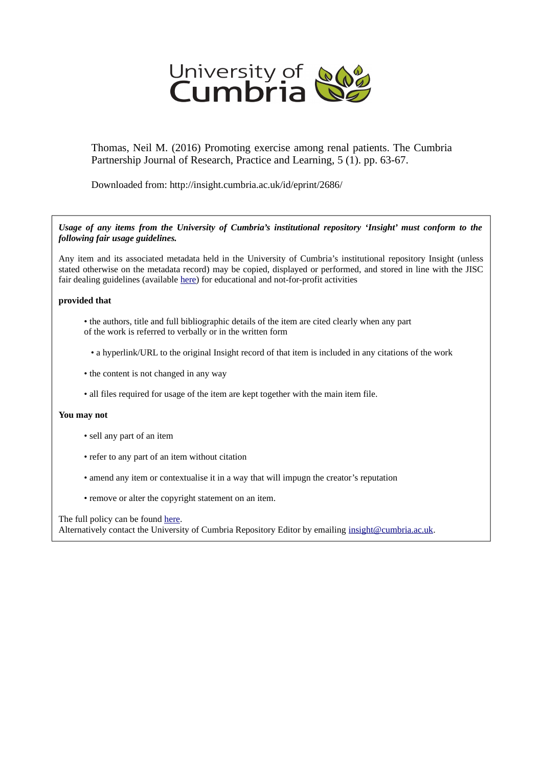

Thomas, Neil M. (2016) Promoting exercise among renal patients. The Cumbria Partnership Journal of Research, Practice and Learning, 5 (1). pp. 63-67.

Downloaded from: http://insight.cumbria.ac.uk/id/eprint/2686/

*Usage of any items from the University of Cumbria's institutional repository 'Insight' must conform to the following fair usage guidelines.*

Any item and its associated metadata held in the University of Cumbria's institutional repository Insight (unless stated otherwise on the metadata record) may be copied, displayed or performed, and stored in line with the JISC fair dealing guidelines (available [here\)](http://www.ukoln.ac.uk/services/elib/papers/pa/fair/) for educational and not-for-profit activities

#### **provided that**

- the authors, title and full bibliographic details of the item are cited clearly when any part of the work is referred to verbally or in the written form
	- a hyperlink/URL to the original Insight record of that item is included in any citations of the work
- the content is not changed in any way
- all files required for usage of the item are kept together with the main item file.

#### **You may not**

- sell any part of an item
- refer to any part of an item without citation
- amend any item or contextualise it in a way that will impugn the creator's reputation
- remove or alter the copyright statement on an item.

The full policy can be found [here.](http://insight.cumbria.ac.uk/legal.html#section5)

Alternatively contact the University of Cumbria Repository Editor by emailing [insight@cumbria.ac.uk.](mailto:insight@cumbria.ac.uk)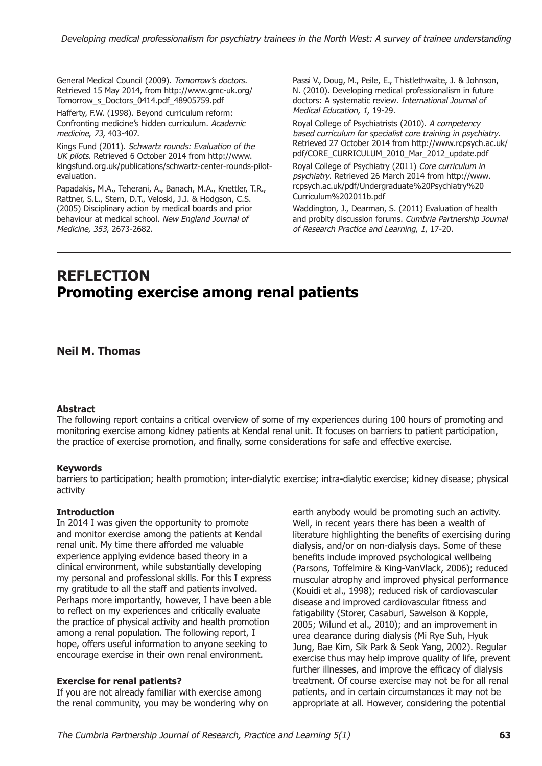General Medical Council (2009). *Tomorrow's doctors.* Retrieved 15 May 2014, from http://www.gmc-uk.org/ Tomorrow\_s\_Doctors\_0414.pdf\_48905759.pdf

Hafferty, F.W. (1998). Beyond curriculum reform: Confronting medicine's hidden curriculum. *Academic medicine*, *73*, 403-407.

Kings Fund (2011). *Schwartz rounds: Evaluation of the UK pilots*. Retrieved 6 October 2014 from http://www. kingsfund.org.uk/publications/schwartz-center-rounds-pilotevaluation.

Papadakis, M.A., Teherani, A., Banach, M.A., Knettler, T.R., Rattner, S.L., Stern, D.T., Veloski, J.J. & Hodgson, C.S. (2005) Disciplinary action by medical boards and prior behaviour at medical school. *New England Journal of Medicine, 353*, 2673-2682.

Passi V., Doug, M., Peile, E., Thistlethwaite, J. & Johnson, N. (2010). Developing medical professionalism in future doctors: A systematic review. *International Journal of Medical Education, 1,* 19-29.

Royal College of Psychiatrists (2010). *A competency based curriculum for specialist core training in psychiatry*. Retrieved 27 October 2014 from http://www.rcpsych.ac.uk/ pdf/CORE\_CURRICULUM\_2010\_Mar\_2012\_update.pdf

Royal College of Psychiatry (2011) *Core curriculum in psychiatry*. Retrieved 26 March 2014 from http://www. rcpsych.ac.uk/pdf/Undergraduate%20Psychiatry%20 Curriculum%202011b.pdf

Waddington, J., Dearman, S. (2011) Evaluation of health and probity discussion forums. *Cumbria Partnership Journal of Research Practice and Learning*, *1*, 17-20.

# **REFLECTION Promoting exercise among renal patients**

# **Neil M. Thomas**

## **Abstract**

The following report contains a critical overview of some of my experiences during 100 hours of promoting and monitoring exercise among kidney patients at Kendal renal unit. It focuses on barriers to patient participation, the practice of exercise promotion, and finally, some considerations for safe and effective exercise.

#### **Keywords**

barriers to participation; health promotion; inter-dialytic exercise; intra-dialytic exercise; kidney disease; physical activity

#### **Introduction**

In 2014 I was given the opportunity to promote and monitor exercise among the patients at Kendal renal unit. My time there afforded me valuable experience applying evidence based theory in a clinical environment, while substantially developing my personal and professional skills. For this I express my gratitude to all the staff and patients involved. Perhaps more importantly, however, I have been able to reflect on my experiences and critically evaluate the practice of physical activity and health promotion among a renal population. The following report, I hope, offers useful information to anyone seeking to encourage exercise in their own renal environment.

#### **Exercise for renal patients?**

If you are not already familiar with exercise among the renal community, you may be wondering why on earth anybody would be promoting such an activity. Well, in recent years there has been a wealth of literature highlighting the benefits of exercising during dialysis, and/or on non-dialysis days. Some of these benefits include improved psychological wellbeing (Parsons, Toffelmire & King-VanVlack, 2006); reduced muscular atrophy and improved physical performance (Kouidi et al., 1998); reduced risk of cardiovascular disease and improved cardiovascular fitness and fatigability (Storer, Casaburi, Sawelson & Kopple, 2005; Wilund et al., 2010); and an improvement in urea clearance during dialysis (Mi Rye Suh, Hyuk Jung, Bae Kim, Sik Park & Seok Yang, 2002). Regular exercise thus may help improve quality of life, prevent further illnesses, and improve the efficacy of dialysis treatment. Of course exercise may not be for all renal patients, and in certain circumstances it may not be appropriate at all. However, considering the potential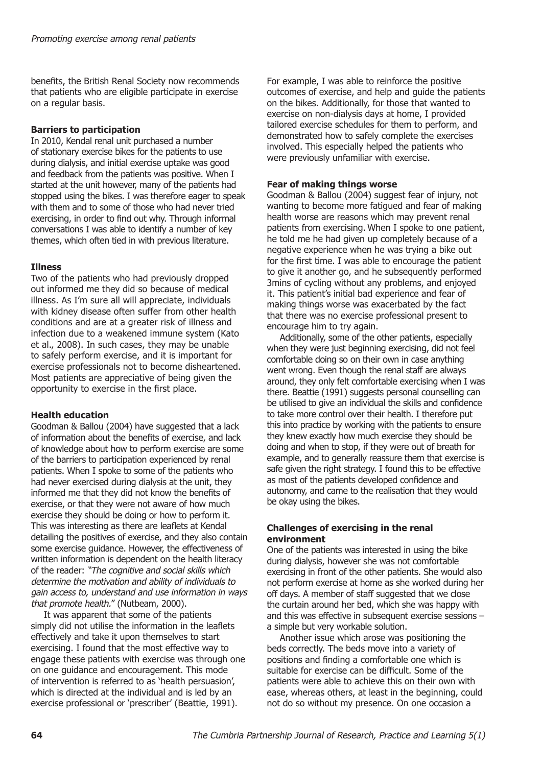benefits, the British Renal Society now recommends that patients who are eligible participate in exercise on a regular basis.

## **Barriers to participation**

In 2010, Kendal renal unit purchased a number of stationary exercise bikes for the patients to use during dialysis, and initial exercise uptake was good and feedback from the patients was positive. When I started at the unit however, many of the patients had stopped using the bikes. I was therefore eager to speak with them and to some of those who had never tried exercising, in order to find out why. Through informal conversations I was able to identify a number of key themes, which often tied in with previous literature.

## **Illness**

Two of the patients who had previously dropped out informed me they did so because of medical illness. As I'm sure all will appreciate, individuals with kidney disease often suffer from other health conditions and are at a greater risk of illness and infection due to a weakened immune system (Kato et al., 2008). In such cases, they may be unable to safely perform exercise, and it is important for exercise professionals not to become disheartened. Most patients are appreciative of being given the opportunity to exercise in the first place.

## **Health education**

Goodman & Ballou (2004) have suggested that a lack of information about the benefits of exercise, and lack of knowledge about how to perform exercise are some of the barriers to participation experienced by renal patients. When I spoke to some of the patients who had never exercised during dialysis at the unit, they informed me that they did not know the benefits of exercise, or that they were not aware of how much exercise they should be doing or how to perform it. This was interesting as there are leaflets at Kendal detailing the positives of exercise, and they also contain some exercise guidance. However, the effectiveness of written information is dependent on the health literacy of the reader: *"The cognitive and social skills which determine the motivation and ability of individuals to gain access to, understand and use information in ways that promote health.*" (Nutbeam, 2000).

It was apparent that some of the patients simply did not utilise the information in the leaflets effectively and take it upon themselves to start exercising. I found that the most effective way to engage these patients with exercise was through one on one guidance and encouragement. This mode of intervention is referred to as 'health persuasion', which is directed at the individual and is led by an exercise professional or 'prescriber' (Beattie, 1991).

For example, I was able to reinforce the positive outcomes of exercise, and help and guide the patients on the bikes. Additionally, for those that wanted to exercise on non-dialysis days at home, I provided tailored exercise schedules for them to perform, and demonstrated how to safely complete the exercises involved. This especially helped the patients who were previously unfamiliar with exercise.

## **Fear of making things worse**

Goodman & Ballou (2004) suggest fear of injury, not wanting to become more fatigued and fear of making health worse are reasons which may prevent renal patients from exercising. When I spoke to one patient, he told me he had given up completely because of a negative experience when he was trying a bike out for the first time. I was able to encourage the patient to give it another go, and he subsequently performed 3mins of cycling without any problems, and enjoyed it. This patient's initial bad experience and fear of making things worse was exacerbated by the fact that there was no exercise professional present to encourage him to try again.

Additionally, some of the other patients, especially when they were just beginning exercising, did not feel comfortable doing so on their own in case anything went wrong. Even though the renal staff are always around, they only felt comfortable exercising when I was there. Beattie (1991) suggests personal counselling can be utilised to give an individual the skills and confidence to take more control over their health. I therefore put this into practice by working with the patients to ensure they knew exactly how much exercise they should be doing and when to stop, if they were out of breath for example, and to generally reassure them that exercise is safe given the right strategy. I found this to be effective as most of the patients developed confidence and autonomy, and came to the realisation that they would be okay using the bikes.

## **Challenges of exercising in the renal environment**

One of the patients was interested in using the bike during dialysis, however she was not comfortable exercising in front of the other patients. She would also not perform exercise at home as she worked during her off days. A member of staff suggested that we close the curtain around her bed, which she was happy with and this was effective in subsequent exercise sessions – a simple but very workable solution.

Another issue which arose was positioning the beds correctly. The beds move into a variety of positions and finding a comfortable one which is suitable for exercise can be difficult. Some of the patients were able to achieve this on their own with ease, whereas others, at least in the beginning, could not do so without my presence. On one occasion a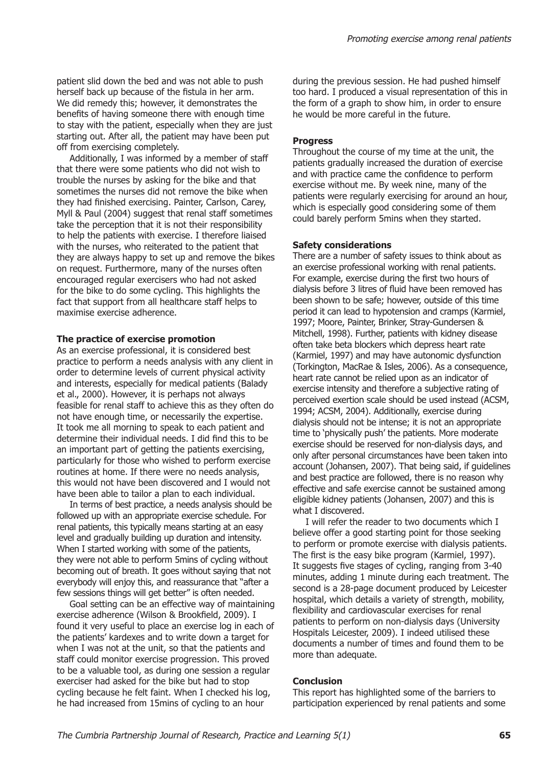patient slid down the bed and was not able to push herself back up because of the fistula in her arm. We did remedy this; however, it demonstrates the benefits of having someone there with enough time to stay with the patient, especially when they are just starting out. After all, the patient may have been put off from exercising completely.

Additionally, I was informed by a member of staff that there were some patients who did not wish to trouble the nurses by asking for the bike and that sometimes the nurses did not remove the bike when they had finished exercising. Painter, Carlson, Carey, Myll & Paul (2004) suggest that renal staff sometimes take the perception that it is not their responsibility to help the patients with exercise. I therefore liaised with the nurses, who reiterated to the patient that they are always happy to set up and remove the bikes on request. Furthermore, many of the nurses often encouraged regular exercisers who had not asked for the bike to do some cycling. This highlights the fact that support from all healthcare staff helps to maximise exercise adherence.

#### **The practice of exercise promotion**

As an exercise professional, it is considered best practice to perform a needs analysis with any client in order to determine levels of current physical activity and interests, especially for medical patients (Balady et al., 2000). However, it is perhaps not always feasible for renal staff to achieve this as they often do not have enough time, or necessarily the expertise. It took me all morning to speak to each patient and determine their individual needs. I did find this to be an important part of getting the patients exercising, particularly for those who wished to perform exercise routines at home. If there were no needs analysis, this would not have been discovered and I would not have been able to tailor a plan to each individual.

In terms of best practice, a needs analysis should be followed up with an appropriate exercise schedule. For renal patients, this typically means starting at an easy level and gradually building up duration and intensity. When I started working with some of the patients, they were not able to perform 5mins of cycling without becoming out of breath. It goes without saying that not everybody will enjoy this, and reassurance that "after a few sessions things will get better" is often needed.

Goal setting can be an effective way of maintaining exercise adherence (Wilson & Brookfield, 2009). I found it very useful to place an exercise log in each of the patients' kardexes and to write down a target for when I was not at the unit, so that the patients and staff could monitor exercise progression. This proved to be a valuable tool, as during one session a regular exerciser had asked for the bike but had to stop cycling because he felt faint. When I checked his log, he had increased from 15mins of cycling to an hour

during the previous session. He had pushed himself too hard. I produced a visual representation of this in the form of a graph to show him, in order to ensure he would be more careful in the future.

#### **Progress**

Throughout the course of my time at the unit, the patients gradually increased the duration of exercise and with practice came the confidence to perform exercise without me. By week nine, many of the patients were regularly exercising for around an hour, which is especially good considering some of them could barely perform 5mins when they started.

#### **Safety considerations**

There are a number of safety issues to think about as an exercise professional working with renal patients. For example, exercise during the first two hours of dialysis before 3 litres of fluid have been removed has been shown to be safe; however, outside of this time period it can lead to hypotension and cramps (Karmiel, 1997; Moore, Painter, Brinker, Stray-Gundersen & Mitchell, 1998). Further, patients with kidney disease often take beta blockers which depress heart rate (Karmiel, 1997) and may have autonomic dysfunction (Torkington, MacRae & Isles, 2006). As a consequence, heart rate cannot be relied upon as an indicator of exercise intensity and therefore a subjective rating of perceived exertion scale should be used instead (ACSM, 1994; ACSM, 2004). Additionally, exercise during dialysis should not be intense; it is not an appropriate time to 'physically push' the patients. More moderate exercise should be reserved for non-dialysis days, and only after personal circumstances have been taken into account (Johansen, 2007). That being said, if guidelines and best practice are followed, there is no reason why effective and safe exercise cannot be sustained among eligible kidney patients (Johansen, 2007) and this is what I discovered.

I will refer the reader to two documents which I believe offer a good starting point for those seeking to perform or promote exercise with dialysis patients. The first is the easy bike program (Karmiel, 1997). It suggests five stages of cycling, ranging from 3-40 minutes, adding 1 minute during each treatment. The second is a 28-page document produced by Leicester hospital, which details a variety of strength, mobility, flexibility and cardiovascular exercises for renal patients to perform on non-dialysis days (University Hospitals Leicester, 2009). I indeed utilised these documents a number of times and found them to be more than adequate.

#### **Conclusion**

This report has highlighted some of the barriers to participation experienced by renal patients and some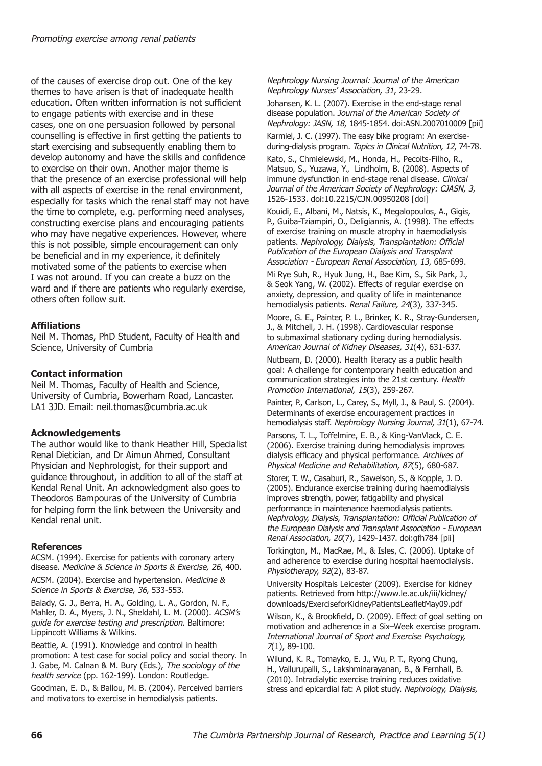of the causes of exercise drop out. One of the key themes to have arisen is that of inadequate health education. Often written information is not sufficient to engage patients with exercise and in these cases, one on one persuasion followed by personal counselling is effective in first getting the patients to start exercising and subsequently enabling them to develop autonomy and have the skills and confidence to exercise on their own. Another major theme is that the presence of an exercise professional will help with all aspects of exercise in the renal environment, especially for tasks which the renal staff may not have the time to complete, e.g. performing need analyses, constructing exercise plans and encouraging patients who may have negative experiences. However, where this is not possible, simple encouragement can only be beneficial and in my experience, it definitely motivated some of the patients to exercise when I was not around. If you can create a buzz on the ward and if there are patients who regularly exercise, others often follow suit.

## **Affiliations**

Neil M. Thomas, PhD Student, Faculty of Health and Science, University of Cumbria

## **Contact information**

Neil M. Thomas, Faculty of Health and Science, University of Cumbria, Bowerham Road, Lancaster. LA1 3JD. Email: neil.thomas@cumbria.ac.uk

## **Acknowledgements**

The author would like to thank Heather Hill, Specialist Renal Dietician, and Dr Aimun Ahmed, Consultant Physician and Nephrologist, for their support and guidance throughout, in addition to all of the staff at Kendal Renal Unit. An acknowledgment also goes to Theodoros Bampouras of the University of Cumbria for helping form the link between the University and Kendal renal unit.

## **References**

ACSM. (1994). Exercise for patients with coronary artery disease. *Medicine & Science in Sports & Exercise, 26*, 400.

ACSM. (2004). Exercise and hypertension. *Medicine & Science in Sports & Exercise, 36*, 533-553.

Balady, G. J., Berra, H. A., Golding, L. A., Gordon, N. F., Mahler, D. A., Myers, J. N., Sheldahl, L. M. (2000). *ACSM's guide for exercise testing and prescription*. Baltimore: Lippincott Williams & Wilkins.

Beattie, A. (1991). Knowledge and control in health promotion: A test case for social policy and social theory. In J. Gabe, M. Calnan & M. Bury (Eds.), *The sociology of the health service* (pp. 162-199). London: Routledge.

Goodman, E. D., & Ballou, M. B. (2004). Perceived barriers and motivators to exercise in hemodialysis patients.

*Nephrology Nursing Journal: Journal of the American Nephrology Nurses' Association, 31*, 23-29.

Johansen, K. L. (2007). Exercise in the end-stage renal disease population. *Journal of the American Society of Nephrology: JASN, 18*, 1845-1854. doi:ASN.2007010009 [pii]

Karmiel, J. C. (1997). The easy bike program: An exerciseduring-dialysis program. *Topics in Clinical Nutrition, 12*, 74-78.

Kato, S., Chmielewski, M., Honda, H., Pecoits-Filho, R., Matsuo, S., Yuzawa, Y., Lindholm, B. (2008). Aspects of immune dysfunction in end-stage renal disease. *Clinical Journal of the American Society of Nephrology: CJASN, 3*, 1526-1533. doi:10.2215/CJN.00950208 [doi]

Kouidi, E., Albani, M., Natsis, K., Megalopoulos, A., Gigis, P., Guiba-Tziampiri, O., Deligiannis, A. (1998). The effects of exercise training on muscle atrophy in haemodialysis patients. *Nephrology, Dialysis, Transplantation: Official Publication of the European Dialysis and Transplant Association - European Renal Association, 13*, 685-699.

Mi Rye Suh, R., Hyuk Jung, H., Bae Kim, S., Sik Park, J., & Seok Yang, W. (2002). Effects of regular exercise on anxiety, depression, and quality of life in maintenance hemodialysis patients. *Renal Failure, 24*(3), 337-345.

Moore, G. E., Painter, P. L., Brinker, K. R., Stray-Gundersen, J., & Mitchell, J. H. (1998). Cardiovascular response to submaximal stationary cycling during hemodialysis. *American Journal of Kidney Diseases, 31*(4), 631-637.

Nutbeam, D. (2000). Health literacy as a public health goal: A challenge for contemporary health education and communication strategies into the 21st century. *Health Promotion International, 15*(3), 259-267.

Painter, P., Carlson, L., Carey, S., Myll, J., & Paul, S. (2004). Determinants of exercise encouragement practices in hemodialysis staff. *Nephrology Nursing Journal, 31*(1), 67-74.

Parsons, T. L., Toffelmire, E. B., & King-VanVlack, C. E. (2006). Exercise training during hemodialysis improves dialysis efficacy and physical performance. *Archives of Physical Medicine and Rehabilitation, 87*(5), 680-687.

Storer, T. W., Casaburi, R., Sawelson, S., & Kopple, J. D. (2005). Endurance exercise training during haemodialysis improves strength, power, fatigability and physical performance in maintenance haemodialysis patients. *Nephrology, Dialysis, Transplantation: Official Publication of the European Dialysis and Transplant Association - European Renal Association, 20*(7), 1429-1437. doi:gfh784 [pii]

Torkington, M., MacRae, M., & Isles, C. (2006). Uptake of and adherence to exercise during hospital haemodialysis. *Physiotherapy, 92*(2), 83-87.

University Hospitals Leicester (2009). Exercise for kidney patients. Retrieved from http://www.le.ac.uk/iii/kidney/ downloads/ExerciseforKidneyPatientsLeafletMay09.pdf

Wilson, K., & Brookfield, D. (2009). Effect of goal setting on motivation and adherence in a Six–Week exercise program. *International Journal of Sport and Exercise Psychology, 7*(1), 89-100.

Wilund, K. R., Tomayko, E. J., Wu, P. T., Ryong Chung, H., Vallurupalli, S., Lakshminarayanan, B., & Fernhall, B. (2010). Intradialytic exercise training reduces oxidative stress and epicardial fat: A pilot study. *Nephrology, Dialysis,*